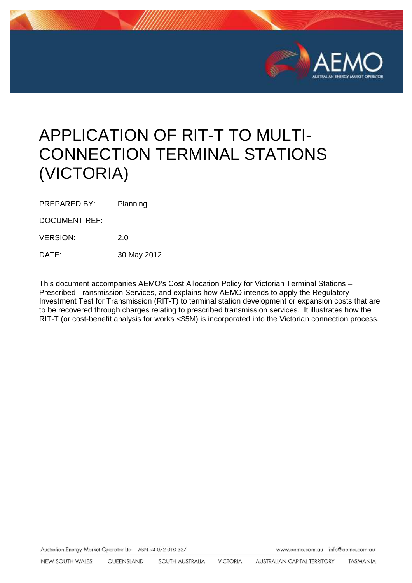

# APPLICATION OF RIT-T TO MULTI-CONNECTION TERMINAL STATIONS (VICTORIA)

PREPARED BY: Planning

DOCUMENT REF:

VERSION: 2.0

DATE: 30 May 2012

This document accompanies AEMO's Cost Allocation Policy for Victorian Terminal Stations – Prescribed Transmission Services, and explains how AEMO intends to apply the Regulatory Investment Test for Transmission (RIT-T) to terminal station development or expansion costs that are to be recovered through charges relating to prescribed transmission services. It illustrates how the RIT-T (or cost-benefit analysis for works <\$5M) is incorporated into the Victorian connection process.

Australian Energy Market Operator Ltd ABN 94 072 010 327

www.aemo.com.au info@aemo.com.au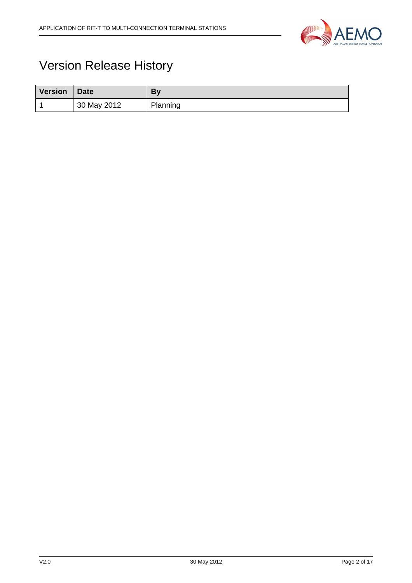

## Version Release History

| <b>Version</b> | <b>Date</b> | Bv       |
|----------------|-------------|----------|
|                | 30 May 2012 | Planning |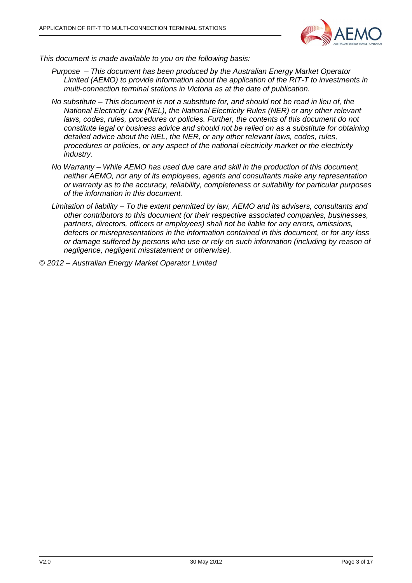

This document is made available to you on the following basis:

- Purpose This document has been produced by the Australian Energy Market Operator Limited (AEMO) to provide information about the application of the RIT-T to investments in multi-connection terminal stations in Victoria as at the date of publication.
- No substitute This document is not a substitute for, and should not be read in lieu of, the National Electricity Law (NEL), the National Electricity Rules (NER) or any other relevant laws, codes, rules, procedures or policies. Further, the contents of this document do not constitute legal or business advice and should not be relied on as a substitute for obtaining detailed advice about the NEL, the NER, or any other relevant laws, codes, rules, procedures or policies, or any aspect of the national electricity market or the electricity industry.
- No Warranty While AEMO has used due care and skill in the production of this document, neither AEMO, nor any of its employees, agents and consultants make any representation or warranty as to the accuracy, reliability, completeness or suitability for particular purposes of the information in this document.
- Limitation of liability To the extent permitted by law, AEMO and its advisers, consultants and other contributors to this document (or their respective associated companies, businesses, partners, directors, officers or employees) shall not be liable for any errors, omissions, defects or misrepresentations in the information contained in this document, or for any loss or damage suffered by persons who use or rely on such information (including by reason of negligence, negligent misstatement or otherwise).

© 2012 – Australian Energy Market Operator Limited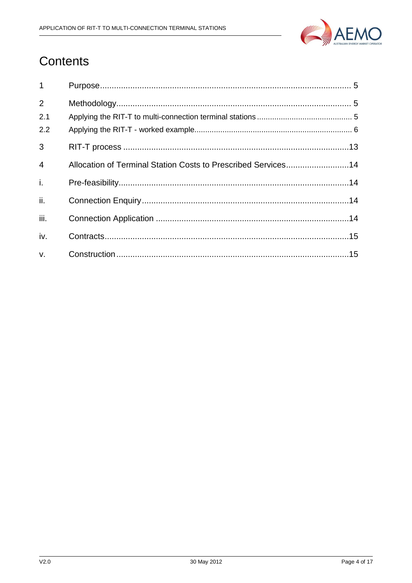

## Contents

| $\mathbf{1}$   |                                                               |
|----------------|---------------------------------------------------------------|
| 2              |                                                               |
| 2.1            |                                                               |
| 2.2            |                                                               |
| 3              |                                                               |
| $\overline{4}$ | Allocation of Terminal Station Costs to Prescribed Services14 |
| i.             |                                                               |
| ii.            |                                                               |
| iii.           |                                                               |
| iv.            |                                                               |
| $V_{\tau}$     |                                                               |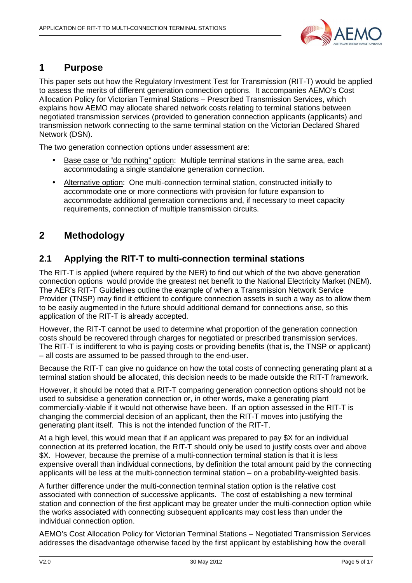

## **1 Purpose**

This paper sets out how the Regulatory Investment Test for Transmission (RIT-T) would be applied to assess the merits of different generation connection options. It accompanies AEMO's Cost Allocation Policy for Victorian Terminal Stations – Prescribed Transmission Services, which explains how AEMO may allocate shared network costs relating to terminal stations between negotiated transmission services (provided to generation connection applicants (applicants) and transmission network connecting to the same terminal station on the Victorian Declared Shared Network (DSN).

The two generation connection options under assessment are:

- Base case or "do nothing" option: Multiple terminal stations in the same area, each accommodating a single standalone generation connection.
- Alternative option: One multi-connection terminal station, constructed initially to accommodate one or more connections with provision for future expansion to accommodate additional generation connections and, if necessary to meet capacity requirements, connection of multiple transmission circuits.

## **2 Methodology**

## **2.1 Applying the RIT-T to multi-connection terminal stations**

The RIT-T is applied (where required by the NER) to find out which of the two above generation connection options would provide the greatest net benefit to the National Electricity Market (NEM). The AER's RIT-T Guidelines outline the example of when a Transmission Network Service Provider (TNSP) may find it efficient to configure connection assets in such a way as to allow them to be easily augmented in the future should additional demand for connections arise, so this application of the RIT-T is already accepted.

However, the RIT-T cannot be used to determine what proportion of the generation connection costs should be recovered through charges for negotiated or prescribed transmission services. The RIT-T is indifferent to who is paying costs or providing benefits (that is, the TNSP or applicant) – all costs are assumed to be passed through to the end-user.

Because the RIT-T can give no guidance on how the total costs of connecting generating plant at a terminal station should be allocated, this decision needs to be made outside the RIT-T framework.

However, it should be noted that a RIT-T comparing generation connection options should not be used to subsidise a generation connection or, in other words, make a generating plant commercially-viable if it would not otherwise have been. If an option assessed in the RIT-T is changing the commercial decision of an applicant, then the RIT-T moves into justifying the generating plant itself. This is not the intended function of the RIT-T.

At a high level, this would mean that if an applicant was prepared to pay \$X for an individual connection at its preferred location, the RIT-T should only be used to justify costs over and above \$X. However, because the premise of a multi-connection terminal station is that it is less expensive overall than individual connections, by definition the total amount paid by the connecting applicants will be less at the multi-connection terminal station – on a probability-weighted basis.

A further difference under the multi-connection terminal station option is the relative cost associated with connection of successive applicants. The cost of establishing a new terminal station and connection of the first applicant may be greater under the multi-connection option while the works associated with connecting subsequent applicants may cost less than under the individual connection option.

AEMO's Cost Allocation Policy for Victorian Terminal Stations – Negotiated Transmission Services addresses the disadvantage otherwise faced by the first applicant by establishing how the overall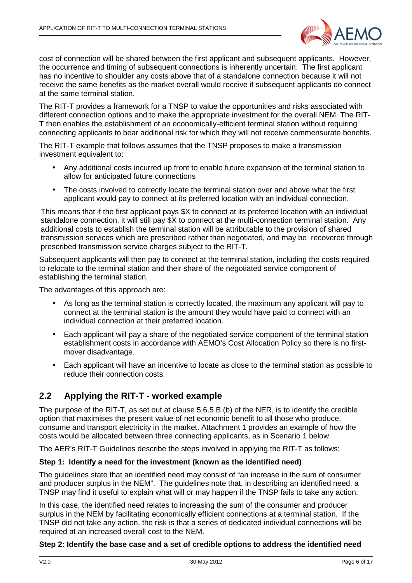

cost of connection will be shared between the first applicant and subsequent applicants. However, the occurrence and timing of subsequent connections is inherently uncertain. The first applicant has no incentive to shoulder any costs above that of a standalone connection because it will not receive the same benefits as the market overall would receive if subsequent applicants do connect at the same terminal station.

The RIT-T provides a framework for a TNSP to value the opportunities and risks associated with different connection options and to make the appropriate investment for the overall NEM. The RIT-T then enables the establishment of an economically-efficient terminal station without requiring connecting applicants to bear additional risk for which they will not receive commensurate benefits.

The RIT-T example that follows assumes that the TNSP proposes to make a transmission investment equivalent to:

- Any additional costs incurred up front to enable future expansion of the terminal station to allow for anticipated future connections
- The costs involved to correctly locate the terminal station over and above what the first applicant would pay to connect at its preferred location with an individual connection.

This means that if the first applicant pays \$X to connect at its preferred location with an individual standalone connection, it will still pay \$X to connect at the multi-connection terminal station. Any additional costs to establish the terminal station will be attributable to the provision of shared transmission services which are prescribed rather than negotiated, and may be recovered through prescribed transmission service charges subject to the RIT-T.

Subsequent applicants will then pay to connect at the terminal station, including the costs required to relocate to the terminal station and their share of the negotiated service component of establishing the terminal station.

The advantages of this approach are:

- As long as the terminal station is correctly located, the maximum any applicant will pay to connect at the terminal station is the amount they would have paid to connect with an individual connection at their preferred location.
- Each applicant will pay a share of the negotiated service component of the terminal station establishment costs in accordance with AEMO's Cost Allocation Policy so there is no firstmover disadvantage.
- Each applicant will have an incentive to locate as close to the terminal station as possible to reduce their connection costs.

## **2.2 Applying the RIT-T - worked example**

The purpose of the RIT-T, as set out at clause 5.6.5 B (b) of the NER, is to identify the credible option that maximises the present value of net economic benefit to all those who produce, consume and transport electricity in the market. Attachment 1 provides an example of how the costs would be allocated between three connecting applicants, as in Scenario 1 below.

The AER's RIT-T Guidelines describe the steps involved in applying the RIT-T as follows:

#### **Step 1: Identify a need for the investment (known as the identified need)**

The guidelines state that an identified need may consist of "an increase in the sum of consumer and producer surplus in the NEM". The guidelines note that, in describing an identified need, a TNSP may find it useful to explain what will or may happen if the TNSP fails to take any action.

In this case, the identified need relates to increasing the sum of the consumer and producer surplus in the NEM by facilitating economically efficient connections at a terminal station. If the TNSP did not take any action, the risk is that a series of dedicated individual connections will be required at an increased overall cost to the NEM.

#### **Step 2: Identify the base case and a set of credible options to address the identified need**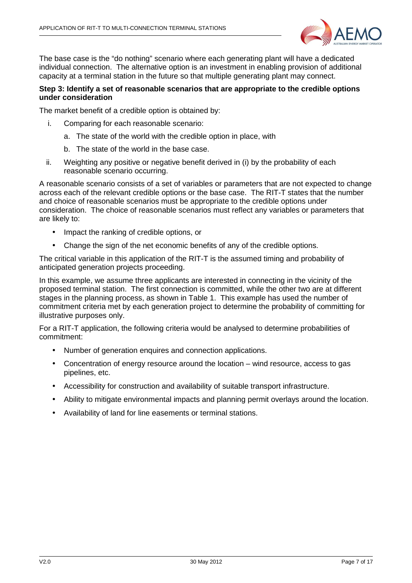

The base case is the "do nothing" scenario where each generating plant will have a dedicated individual connection. The alternative option is an investment in enabling provision of additional capacity at a terminal station in the future so that multiple generating plant may connect.

#### **Step 3: Identify a set of reasonable scenarios that are appropriate to the credible options under consideration**

The market benefit of a credible option is obtained by:

- i. Comparing for each reasonable scenario:
	- a. The state of the world with the credible option in place, with
	- b. The state of the world in the base case.
- ii. Weighting any positive or negative benefit derived in (i) by the probability of each reasonable scenario occurring.

A reasonable scenario consists of a set of variables or parameters that are not expected to change across each of the relevant credible options or the base case. The RIT-T states that the number and choice of reasonable scenarios must be appropriate to the credible options under consideration. The choice of reasonable scenarios must reflect any variables or parameters that are likely to:

- Impact the ranking of credible options, or
- Change the sign of the net economic benefits of any of the credible options.

The critical variable in this application of the RIT-T is the assumed timing and probability of anticipated generation projects proceeding.

In this example, we assume three applicants are interested in connecting in the vicinity of the proposed terminal station. The first connection is committed, while the other two are at different stages in the planning process, as shown in Table 1. This example has used the number of commitment criteria met by each generation project to determine the probability of committing for illustrative purposes only.

For a RIT-T application, the following criteria would be analysed to determine probabilities of commitment:

- Number of generation enquires and connection applications.
- Concentration of energy resource around the location wind resource, access to gas pipelines, etc.
- Accessibility for construction and availability of suitable transport infrastructure.
- Ability to mitigate environmental impacts and planning permit overlays around the location.
- Availability of land for line easements or terminal stations.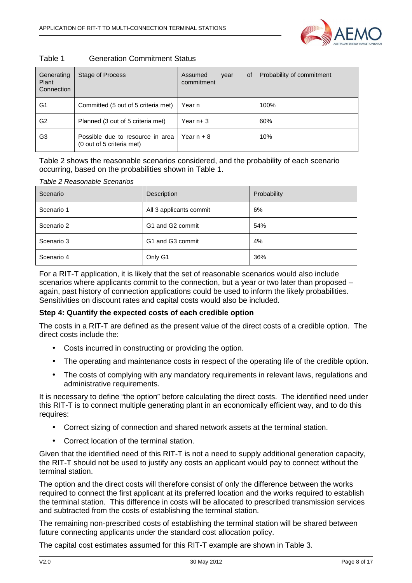| Table 1 | <b>Generation Commitment Status</b> |
|---------|-------------------------------------|
|---------|-------------------------------------|

| Generating<br>Plant<br>Connection | Stage of Process                                              | Assumed<br>0f<br>year<br>commitment | Probability of commitment |
|-----------------------------------|---------------------------------------------------------------|-------------------------------------|---------------------------|
| G <sub>1</sub>                    | Committed (5 out of 5 criteria met)                           | Year n                              | 100%                      |
| G <sub>2</sub>                    | Planned (3 out of 5 criteria met)                             | Year $n+3$                          | 60%                       |
| G3                                | Possible due to resource in area<br>(0 out of 5 criteria met) | Year $n + 8$                        | 10%                       |

Table 2 shows the reasonable scenarios considered, and the probability of each scenario occurring, based on the probabilities shown in Table 1.

| Table 2 Reasonable Scenarios |                         |             |  |  |
|------------------------------|-------------------------|-------------|--|--|
| Scenario                     | Description             | Probability |  |  |
| Scenario 1                   | All 3 applicants commit | 6%          |  |  |
| Scenario 2                   | G1 and G2 commit        | 54%         |  |  |
| Scenario 3                   | G1 and G3 commit        | 4%          |  |  |
| Scenario 4                   | Only G1                 | 36%         |  |  |

For a RIT-T application, it is likely that the set of reasonable scenarios would also include scenarios where applicants commit to the connection, but a year or two later than proposed – again, past history of connection applications could be used to inform the likely probabilities. Sensitivities on discount rates and capital costs would also be included.

#### **Step 4: Quantify the expected costs of each credible option**

The costs in a RIT-T are defined as the present value of the direct costs of a credible option. The direct costs include the:

- Costs incurred in constructing or providing the option.
- The operating and maintenance costs in respect of the operating life of the credible option.
- The costs of complying with any mandatory requirements in relevant laws, regulations and administrative requirements.

It is necessary to define "the option" before calculating the direct costs. The identified need under this RIT-T is to connect multiple generating plant in an economically efficient way, and to do this requires:

- Correct sizing of connection and shared network assets at the terminal station.
- Correct location of the terminal station.

Given that the identified need of this RIT-T is not a need to supply additional generation capacity, the RIT-T should not be used to justify any costs an applicant would pay to connect without the terminal station.

The option and the direct costs will therefore consist of only the difference between the works required to connect the first applicant at its preferred location and the works required to establish the terminal station. This difference in costs will be allocated to prescribed transmission services and subtracted from the costs of establishing the terminal station.

The remaining non-prescribed costs of establishing the terminal station will be shared between future connecting applicants under the standard cost allocation policy.

The capital cost estimates assumed for this RIT-T example are shown in Table 3.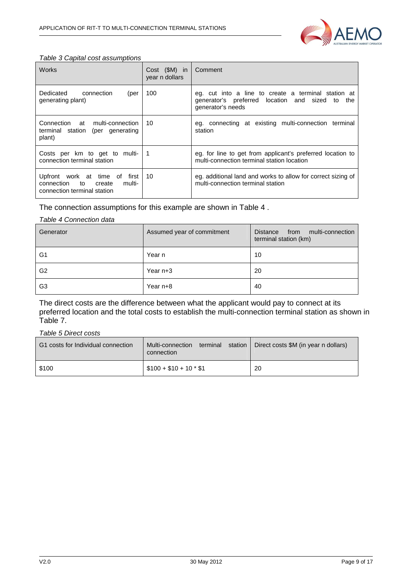

#### Table 3 Capital cost assumptions

| <b>Works</b>                                                                                            | Cost (\$M) in<br>year n dollars | Comment                                                                                                                        |
|---------------------------------------------------------------------------------------------------------|---------------------------------|--------------------------------------------------------------------------------------------------------------------------------|
| connection<br>Dedicated<br>(per<br>generating plant)                                                    | 100                             | eg. cut into a line to create a terminal station at<br>generator's preferred location and sized to<br>the<br>generator's needs |
| Connection at<br>multi-connection<br>terminal station (per generating<br>plant)                         | 10                              | eg. connecting at existing multi-connection terminal<br>station                                                                |
| Costs per km to get to multi-<br>connection terminal station                                            | -1                              | eg. for line to get from applicant's preferred location to<br>multi-connection terminal station location                       |
| Upfront work at time of<br>first<br>connection<br>multi-<br>to<br>create<br>connection terminal station | 10                              | eg. additional land and works to allow for correct sizing of<br>multi-connection terminal station                              |

The connection assumptions for this example are shown in Table 4 .

#### Table 4 Connection data

| Generator      | Assumed year of commitment | from multi-connection<br>Distance<br>terminal station (km) |  |
|----------------|----------------------------|------------------------------------------------------------|--|
| G <sub>1</sub> | Year n                     | 10                                                         |  |
| G <sub>2</sub> | Year $n+3$                 | 20                                                         |  |
| G <sub>3</sub> | Year $n+8$                 | 40                                                         |  |

The direct costs are the difference between what the applicant would pay to connect at its preferred location and the total costs to establish the multi-connection terminal station as shown in Table 7.

#### Table 5 Direct costs

| G1 costs for Individual connection | terminal station<br>Multi-connection<br>connection | Direct costs \$M (in year n dollars) |
|------------------------------------|----------------------------------------------------|--------------------------------------|
| \$100                              | $$100 + $10 + 10 * $1$                             | 20                                   |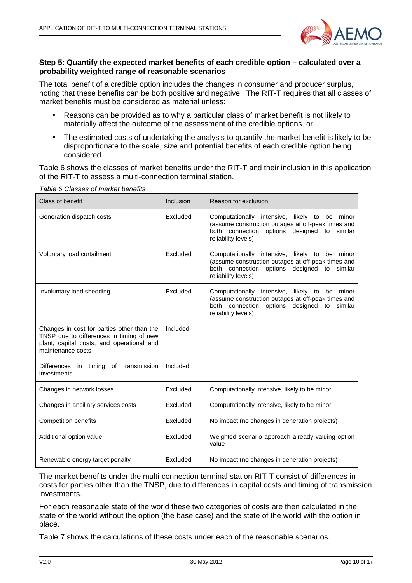

#### **Step 5: Quantify the expected market benefits of each credible option – calculated over a probability weighted range of reasonable scenarios**

The total benefit of a credible option includes the changes in consumer and producer surplus, noting that these benefits can be both positive and negative. The RIT-T requires that all classes of market benefits must be considered as material unless:

- Reasons can be provided as to why a particular class of market benefit is not likely to materially affect the outcome of the assessment of the credible options, or
- The estimated costs of undertaking the analysis to quantify the market benefit is likely to be disproportionate to the scale, size and potential benefits of each credible option being considered.

Table 6 shows the classes of market benefits under the RIT-T and their inclusion in this application of the RIT-T to assess a multi-connection terminal station.

| Class of benefit                                                                                                                                         | Inclusion | Reason for exclusion                                                                                                                                                         |
|----------------------------------------------------------------------------------------------------------------------------------------------------------|-----------|------------------------------------------------------------------------------------------------------------------------------------------------------------------------------|
| Generation dispatch costs                                                                                                                                | Excluded  | Computationally intensive, likely to be minor<br>(assume construction outages at off-peak times and<br>both connection options designed to<br>similar<br>reliability levels) |
| Voluntary load curtailment                                                                                                                               | Excluded  | Computationally intensive, likely to be minor<br>(assume construction outages at off-peak times and<br>both connection options designed to<br>similar<br>reliability levels) |
| Involuntary load shedding                                                                                                                                | Excluded  | Computationally intensive, likely to be minor<br>(assume construction outages at off-peak times and<br>both connection options designed to similar<br>reliability levels)    |
| Changes in cost for parties other than the<br>TNSP due to differences in timing of new<br>plant, capital costs, and operational and<br>maintenance costs | Included  |                                                                                                                                                                              |
| Differences<br>in timing of transmission<br>investments                                                                                                  | Included  |                                                                                                                                                                              |
| Changes in network losses                                                                                                                                | Excluded  | Computationally intensive, likely to be minor                                                                                                                                |
| Changes in ancillary services costs                                                                                                                      | Excluded  | Computationally intensive, likely to be minor                                                                                                                                |
| <b>Competition benefits</b>                                                                                                                              | Excluded  | No impact (no changes in generation projects)                                                                                                                                |
| Additional option value                                                                                                                                  | Excluded  | Weighted scenario approach already valuing option<br>value                                                                                                                   |
| Renewable energy target penalty                                                                                                                          | Excluded  | No impact (no changes in generation projects)                                                                                                                                |

Table 6 Classes of market benefits

The market benefits under the multi-connection terminal station RIT-T consist of differences in costs for parties other than the TNSP, due to differences in capital costs and timing of transmission investments.

For each reasonable state of the world these two categories of costs are then calculated in the state of the world without the option (the base case) and the state of the world with the option in place.

Table 7 shows the calculations of these costs under each of the reasonable scenarios.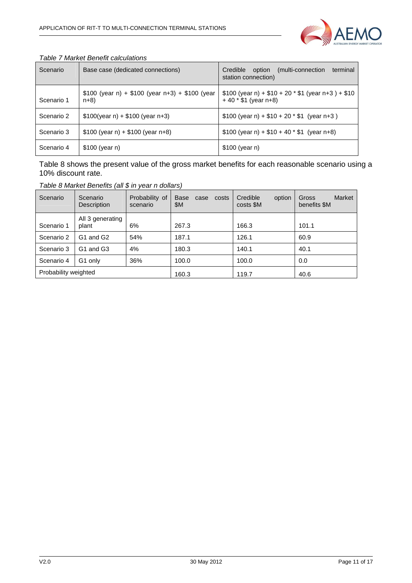

| Scenario   | Base case (dedicated connections)                       | (multi-connection)<br>Credible<br>option<br>terminal<br>station connection) |
|------------|---------------------------------------------------------|-----------------------------------------------------------------------------|
| Scenario 1 | \$100 (year n) + \$100 (year n+3) + \$100 (year<br>n+8) | $$100 (year n) + $10 + 20 * $1 (year n + 3) + $10$<br>$+40 * $1 (year n+8)$ |
| Scenario 2 | $$100(year n) + $100(year n+3)$                         | $$100 (year n) + $10 + 20 * $1 (year n+3)$                                  |
| Scenario 3 | $$100$ (year n) + $$100$ (year n+8)                     | $$100$ (year n) + $$10 + 40 * $1$ (year n+8)                                |
| Scenario 4 | $$100$ (year n)                                         | $$100$ (year n)                                                             |

#### Table 7 Market Benefit calculations

Table 8 shows the present value of the gross market benefits for each reasonable scenario using a 10% discount rate.

Table 8 Market Benefits (all \$ in year n dollars)

| Scenario             | Scenario<br>Description           | Probability of<br>scenario | <b>Base</b><br>costs<br>case<br>\$M | Credible<br>option<br>costs \$M | <b>Market</b><br>Gross<br>benefits \$M |
|----------------------|-----------------------------------|----------------------------|-------------------------------------|---------------------------------|----------------------------------------|
| Scenario 1           | All 3 generating<br>plant         | 6%                         | 267.3                               | 166.3                           | 101.1                                  |
| Scenario 2           | G <sub>1</sub> and G <sub>2</sub> | 54%                        | 187.1                               | 126.1                           | 60.9                                   |
| Scenario 3           | G <sub>1</sub> and G <sub>3</sub> | 4%                         | 180.3                               | 140.1                           | 40.1                                   |
| Scenario 4           | G1 only                           | 36%                        | 100.0                               | 100.0                           | 0.0                                    |
| Probability weighted |                                   |                            | 160.3                               | 119.7                           | 40.6                                   |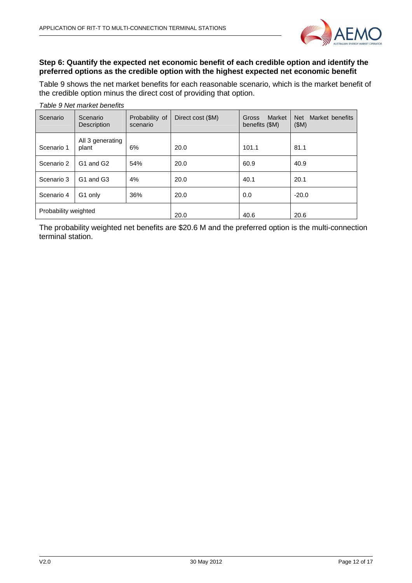

#### **Step 6: Quantify the expected net economic benefit of each credible option and identify the preferred options as the credible option with the highest expected net economic benefit**

Table 9 shows the net market benefits for each reasonable scenario, which is the market benefit of the credible option minus the direct cost of providing that option.

| Scenario             | Scenario<br><b>Description</b>    | Probability of<br>scenario | Direct cost (\$M) | Market<br>Gross<br>benefits (\$M) | Market benefits<br><b>Net</b><br>(SM) |
|----------------------|-----------------------------------|----------------------------|-------------------|-----------------------------------|---------------------------------------|
| Scenario 1           | All 3 generating<br>plant         | 6%                         | 20.0              | 101.1                             | 81.1                                  |
| Scenario 2           | G1 and G2                         | 54%                        | 20.0              | 60.9                              | 40.9                                  |
| Scenario 3           | G <sub>1</sub> and G <sub>3</sub> | 4%                         | 20.0              | 40.1                              | 20.1                                  |
| Scenario 4           | G1 only                           | 36%                        | 20.0              | 0.0                               | $-20.0$                               |
| Probability weighted |                                   | 20.0                       | 40.6              | 20.6                              |                                       |

Table 9 Net market benefits

The probability weighted net benefits are \$20.6 M and the preferred option is the multi-connection terminal station.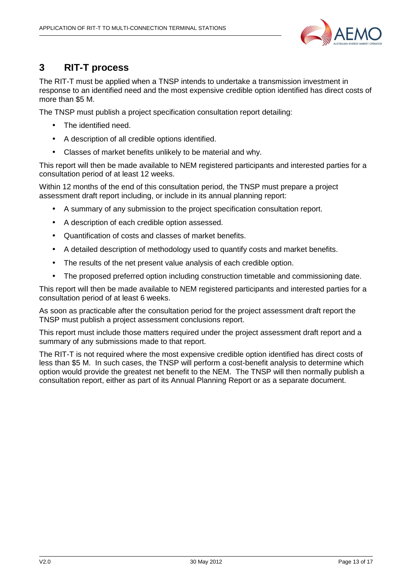

## **3 RIT-T process**

The RIT-T must be applied when a TNSP intends to undertake a transmission investment in response to an identified need and the most expensive credible option identified has direct costs of more than \$5 M.

The TNSP must publish a project specification consultation report detailing:

- The identified need.
- A description of all credible options identified.
- Classes of market benefits unlikely to be material and why.

This report will then be made available to NEM registered participants and interested parties for a consultation period of at least 12 weeks.

Within 12 months of the end of this consultation period, the TNSP must prepare a project assessment draft report including, or include in its annual planning report:

- A summary of any submission to the project specification consultation report.
- A description of each credible option assessed.
- Quantification of costs and classes of market benefits.
- A detailed description of methodology used to quantify costs and market benefits.
- The results of the net present value analysis of each credible option.
- The proposed preferred option including construction timetable and commissioning date.

This report will then be made available to NEM registered participants and interested parties for a consultation period of at least 6 weeks.

As soon as practicable after the consultation period for the project assessment draft report the TNSP must publish a project assessment conclusions report.

This report must include those matters required under the project assessment draft report and a summary of any submissions made to that report.

The RIT-T is not required where the most expensive credible option identified has direct costs of less than \$5 M. In such cases, the TNSP will perform a cost-benefit analysis to determine which option would provide the greatest net benefit to the NEM. The TNSP will then normally publish a consultation report, either as part of its Annual Planning Report or as a separate document.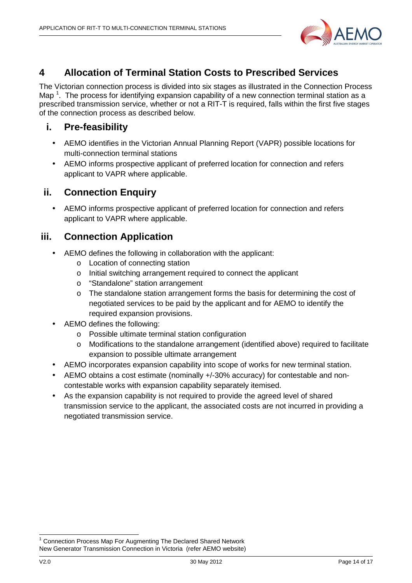

## **4 Allocation of Terminal Station Costs to Prescribed Services**

The Victorian connection process is divided into six stages as illustrated in the Connection Process Map<sup>1</sup>. The process for identifying expansion capability of a new connection terminal station as a prescribed transmission service, whether or not a RIT-T is required, falls within the first five stages of the connection process as described below.

## **i. Pre-feasibility**

- AEMO identifies in the Victorian Annual Planning Report (VAPR) possible locations for multi-connection terminal stations
- AEMO informs prospective applicant of preferred location for connection and refers applicant to VAPR where applicable.

## **ii. Connection Enquiry**

• AEMO informs prospective applicant of preferred location for connection and refers applicant to VAPR where applicable.

## **iii. Connection Application**

- AEMO defines the following in collaboration with the applicant:
	- o Location of connecting station
	- o Initial switching arrangement required to connect the applicant
	- o "Standalone" station arrangement
	- $\circ$  The standalone station arrangement forms the basis for determining the cost of negotiated services to be paid by the applicant and for AEMO to identify the required expansion provisions.
- AEMO defines the following:
	- o Possible ultimate terminal station configuration
	- o Modifications to the standalone arrangement (identified above) required to facilitate expansion to possible ultimate arrangement
- AEMO incorporates expansion capability into scope of works for new terminal station.
- AEMO obtains a cost estimate (nominally +/-30% accuracy) for contestable and noncontestable works with expansion capability separately itemised.
- As the expansion capability is not required to provide the agreed level of shared transmission service to the applicant, the associated costs are not incurred in providing a negotiated transmission service.

l

<sup>1</sup> Connection Process Map For Augmenting The Declared Shared Network New Generator Transmission Connection in Victoria (refer AEMO website)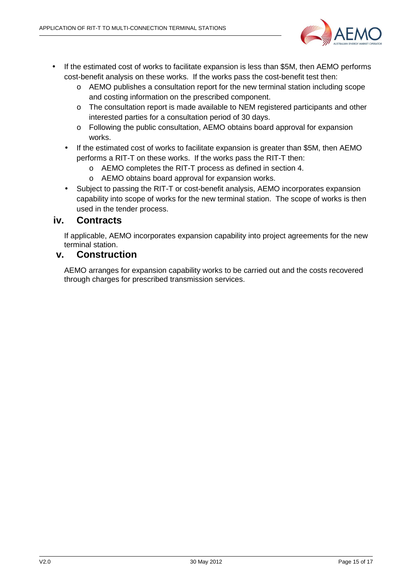

- If the estimated cost of works to facilitate expansion is less than \$5M, then AEMO performs cost-benefit analysis on these works. If the works pass the cost-benefit test then:
	- o AEMO publishes a consultation report for the new terminal station including scope and costing information on the prescribed component.
	- o The consultation report is made available to NEM registered participants and other interested parties for a consultation period of 30 days.
	- o Following the public consultation, AEMO obtains board approval for expansion works.
	- If the estimated cost of works to facilitate expansion is greater than \$5M, then AEMO performs a RIT-T on these works. If the works pass the RIT-T then:
		- o AEMO completes the RIT-T process as defined in section 4.
		- o AEMO obtains board approval for expansion works.
	- Subject to passing the RIT-T or cost-benefit analysis, AEMO incorporates expansion capability into scope of works for the new terminal station. The scope of works is then used in the tender process.

## **iv. Contracts**

If applicable, AEMO incorporates expansion capability into project agreements for the new terminal station.

## **v. Construction**

AEMO arranges for expansion capability works to be carried out and the costs recovered through charges for prescribed transmission services.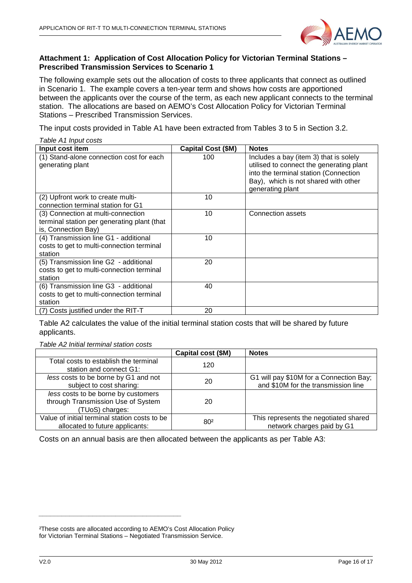

#### **Attachment 1: Application of Cost Allocation Policy for Victorian Terminal Stations – Prescribed Transmission Services to Scenario 1**

The following example sets out the allocation of costs to three applicants that connect as outlined in Scenario 1. The example covers a ten-year term and shows how costs are apportioned between the applicants over the course of the term, as each new applicant connects to the terminal station. The allocations are based on AEMO's Cost Allocation Policy for Victorian Terminal Stations – Prescribed Transmission Services.

The input costs provided in Table A1 have been extracted from Tables 3 to 5 in Section 3.2.

| Table A1 Input costs                                                                                     |                    |                                                                                                                                                                                         |  |  |  |  |  |
|----------------------------------------------------------------------------------------------------------|--------------------|-----------------------------------------------------------------------------------------------------------------------------------------------------------------------------------------|--|--|--|--|--|
| Input cost item                                                                                          | Capital Cost (\$M) | <b>Notes</b>                                                                                                                                                                            |  |  |  |  |  |
| (1) Stand-alone connection cost for each<br>generating plant                                             | 100                | Includes a bay (item 3) that is solely<br>utilised to connect the generating plant<br>into the terminal station (Connection<br>Bay), which is not shared with other<br>generating plant |  |  |  |  |  |
| (2) Upfront work to create multi-<br>connection terminal station for G1                                  | 10                 |                                                                                                                                                                                         |  |  |  |  |  |
| (3) Connection at multi-connection<br>terminal station per generating plant (that<br>is, Connection Bay) | 10                 | Connection assets                                                                                                                                                                       |  |  |  |  |  |
| (4) Transmission line G1 - additional<br>costs to get to multi-connection terminal<br>station            | 10                 |                                                                                                                                                                                         |  |  |  |  |  |
| (5) Transmission line G2 - additional<br>costs to get to multi-connection terminal<br>station            | 20                 |                                                                                                                                                                                         |  |  |  |  |  |
| (6) Transmission line G3 - additional<br>costs to get to multi-connection terminal<br>station            | 40                 |                                                                                                                                                                                         |  |  |  |  |  |
| (7) Costs justified under the RIT-T                                                                      | 20                 |                                                                                                                                                                                         |  |  |  |  |  |

Table A2 calculates the value of the initial terminal station costs that will be shared by future applicants.

Table A2 Initial terminal station costs

|                                               | Capital cost (\$M) | <b>Notes</b>                            |
|-----------------------------------------------|--------------------|-----------------------------------------|
| Total costs to establish the terminal         | 120                |                                         |
| station and connect G1:                       |                    |                                         |
| less costs to be borne by G1 and not          | 20                 | G1 will pay \$10M for a Connection Bay; |
| subject to cost sharing:                      |                    | and \$10M for the transmission line     |
| less costs to be borne by customers           |                    |                                         |
| through Transmission Use of System            | 20                 |                                         |
| (TUoS) charges:                               |                    |                                         |
| Value of initial terminal station costs to be | 80 <sup>2</sup>    | This represents the negotiated shared   |
| allocated to future applicants:               |                    | network charges paid by G1              |

Costs on an annual basis are then allocated between the applicants as per Table A3:

\_\_\_\_\_\_\_\_\_\_\_\_\_\_\_\_\_\_\_\_\_\_\_\_\_\_\_\_\_\_\_\_\_\_\_\_\_

²These costs are allocated according to AEMO's Cost Allocation Policy for Victorian Terminal Stations – Negotiated Transmission Service.